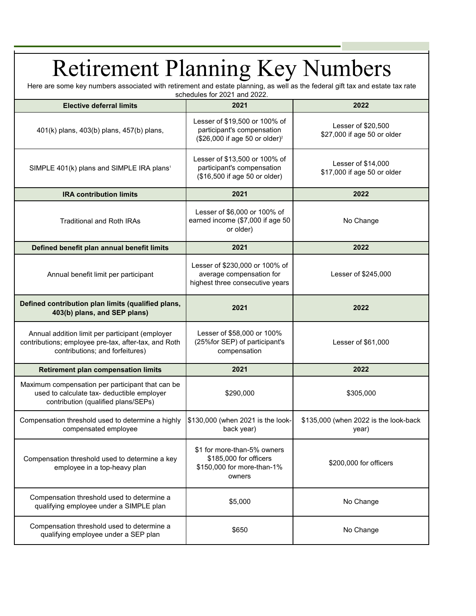## Retirement Planning Key Numbers Here are some key numbers associated with retirement and estate planning, as well as the federal gift tax and estate tax rate

| <b>Elective deferral limits</b>                                                                                                            | 2021                                                                                                      | 2022                                               |
|--------------------------------------------------------------------------------------------------------------------------------------------|-----------------------------------------------------------------------------------------------------------|----------------------------------------------------|
| 401(k) plans, 403(b) plans, 457(b) plans,                                                                                                  | Lesser of \$19,500 or 100% of<br>participant's compensation<br>(\$26,000 if age 50 or older) <sup>2</sup> | Lesser of \$20,500<br>\$27,000 if age 50 or older  |
| SIMPLE 401(k) plans and SIMPLE IRA plans <sup>1</sup>                                                                                      | Lesser of \$13,500 or 100% of<br>participant's compensation<br>(\$16,500 if age 50 or older)              | Lesser of $$14,000$<br>\$17,000 if age 50 or older |
| <b>IRA contribution limits</b>                                                                                                             | 2021                                                                                                      | 2022                                               |
| <b>Traditional and Roth IRAs</b>                                                                                                           | Lesser of \$6,000 or 100% of<br>earned income (\$7,000 if age 50<br>or older)                             | No Change                                          |
| Defined benefit plan annual benefit limits                                                                                                 | 2021                                                                                                      | 2022                                               |
| Annual benefit limit per participant                                                                                                       | Lesser of \$230,000 or 100% of<br>average compensation for<br>highest three consecutive years             | Lesser of \$245,000                                |
| Defined contribution plan limits (qualified plans,<br>403(b) plans, and SEP plans)                                                         | 2021                                                                                                      | 2022                                               |
| Annual addition limit per participant (employer<br>contributions; employee pre-tax, after-tax, and Roth<br>contributions; and forfeitures) | Lesser of \$58,000 or 100%<br>(25%for SEP) of participant's<br>compensation                               | Lesser of \$61,000                                 |
| <b>Retirement plan compensation limits</b>                                                                                                 | 2021                                                                                                      | 2022                                               |
| Maximum compensation per participant that can be<br>used to calculate tax- deductible employer<br>contribution (qualified plans/SEPs)      | \$290,000                                                                                                 | \$305,000                                          |
| Compensation threshold used to determine a highly<br>compensated employee                                                                  | \$130,000 (when 2021 is the look-<br>back year)                                                           | \$135,000 (when 2022 is the look-back<br>year)     |
| Compensation threshold used to determine a key<br>employee in a top-heavy plan                                                             | \$1 for more-than-5% owners<br>\$185,000 for officers<br>\$150,000 for more-than-1%<br>owners             | \$200,000 for officers                             |
| Compensation threshold used to determine a<br>qualifying employee under a SIMPLE plan                                                      | \$5,000                                                                                                   | No Change                                          |
| Compensation threshold used to determine a<br>qualifying employee under a SEP plan                                                         | \$650                                                                                                     | No Change                                          |